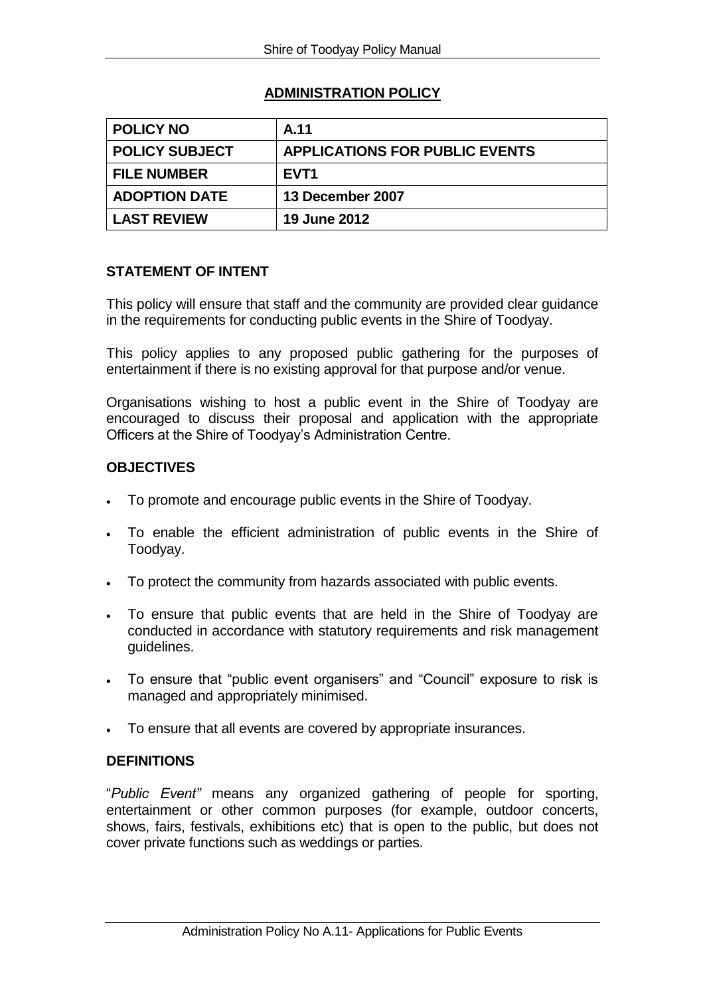# **ADMINISTRATION POLICY**

| <b>POLICY NO</b>      | A.11                                  |
|-----------------------|---------------------------------------|
| <b>POLICY SUBJECT</b> | <b>APPLICATIONS FOR PUBLIC EVENTS</b> |
| <b>FILE NUMBER</b>    | EVT <sub>1</sub>                      |
| <b>ADOPTION DATE</b>  | 13 December 2007                      |
| <b>LAST REVIEW</b>    | <b>19 June 2012</b>                   |

## **STATEMENT OF INTENT**

This policy will ensure that staff and the community are provided clear guidance in the requirements for conducting public events in the Shire of Toodyay.

This policy applies to any proposed public gathering for the purposes of entertainment if there is no existing approval for that purpose and/or venue.

Organisations wishing to host a public event in the Shire of Toodyay are encouraged to discuss their proposal and application with the appropriate Officers at the Shire of Toodyay's Administration Centre.

## **OBJECTIVES**

- To promote and encourage public events in the Shire of Toodyay.
- To enable the efficient administration of public events in the Shire of Toodyay.
- To protect the community from hazards associated with public events.
- To ensure that public events that are held in the Shire of Toodyay are conducted in accordance with statutory requirements and risk management guidelines.
- To ensure that "public event organisers" and "Council" exposure to risk is managed and appropriately minimised.
- To ensure that all events are covered by appropriate insurances.

### **DEFINITIONS**

"*Public Event"* means any organized gathering of people for sporting, entertainment or other common purposes (for example, outdoor concerts, shows, fairs, festivals, exhibitions etc) that is open to the public, but does not cover private functions such as weddings or parties.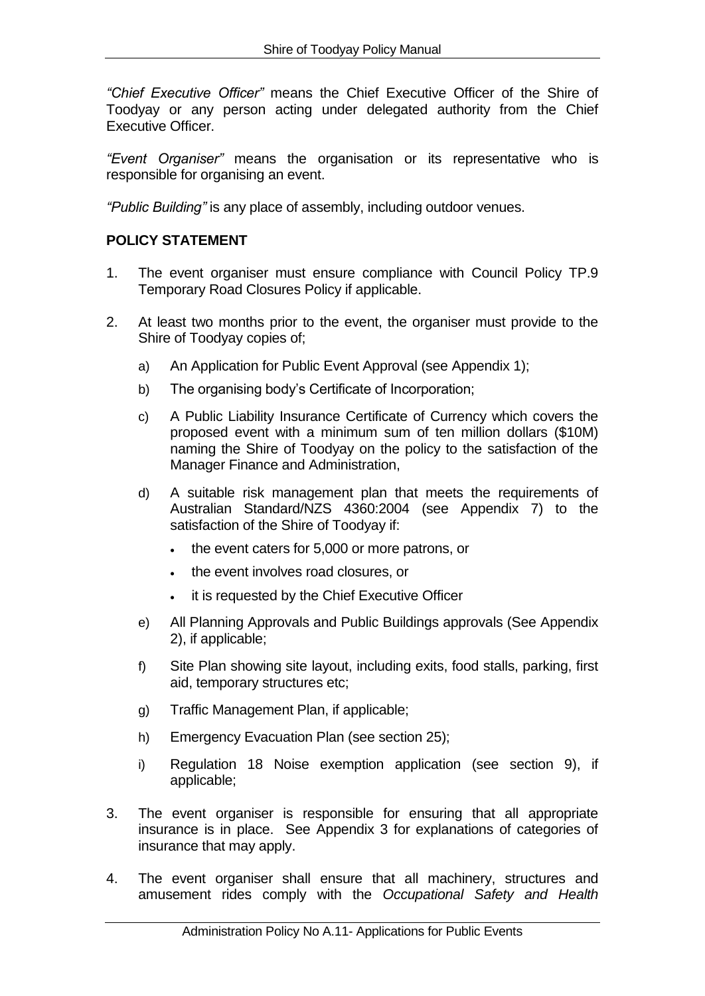*"Chief Executive Officer"* means the Chief Executive Officer of the Shire of Toodyay or any person acting under delegated authority from the Chief Executive Officer.

*"Event Organiser"* means the organisation or its representative who is responsible for organising an event.

*"Public Building"* is any place of assembly, including outdoor venues.

# **POLICY STATEMENT**

- 1. The event organiser must ensure compliance with Council Policy TP.9 Temporary Road Closures Policy if applicable.
- 2. At least two months prior to the event, the organiser must provide to the Shire of Toodyay copies of;
	- a) An Application for Public Event Approval (see Appendix 1);
	- b) The organising body's Certificate of Incorporation;
	- c) A Public Liability Insurance Certificate of Currency which covers the proposed event with a minimum sum of ten million dollars (\$10M) naming the Shire of Toodyay on the policy to the satisfaction of the Manager Finance and Administration,
	- d) A suitable risk management plan that meets the requirements of Australian Standard/NZS 4360:2004 (see Appendix 7) to the satisfaction of the Shire of Toodyay if:
		- the event caters for 5,000 or more patrons, or
		- . the event involves road closures, or
		- $\bullet$  it is requested by the Chief Executive Officer
	- e) All Planning Approvals and Public Buildings approvals (See Appendix 2), if applicable;
	- f) Site Plan showing site layout, including exits, food stalls, parking, first aid, temporary structures etc;
	- g) Traffic Management Plan, if applicable;
	- h) Emergency Evacuation Plan (see section 25);
	- i) Regulation 18 Noise exemption application (see section 9), if applicable;
- 3. The event organiser is responsible for ensuring that all appropriate insurance is in place. See Appendix 3 for explanations of categories of insurance that may apply.
- 4. The event organiser shall ensure that all machinery, structures and amusement rides comply with the *Occupational Safety and Health*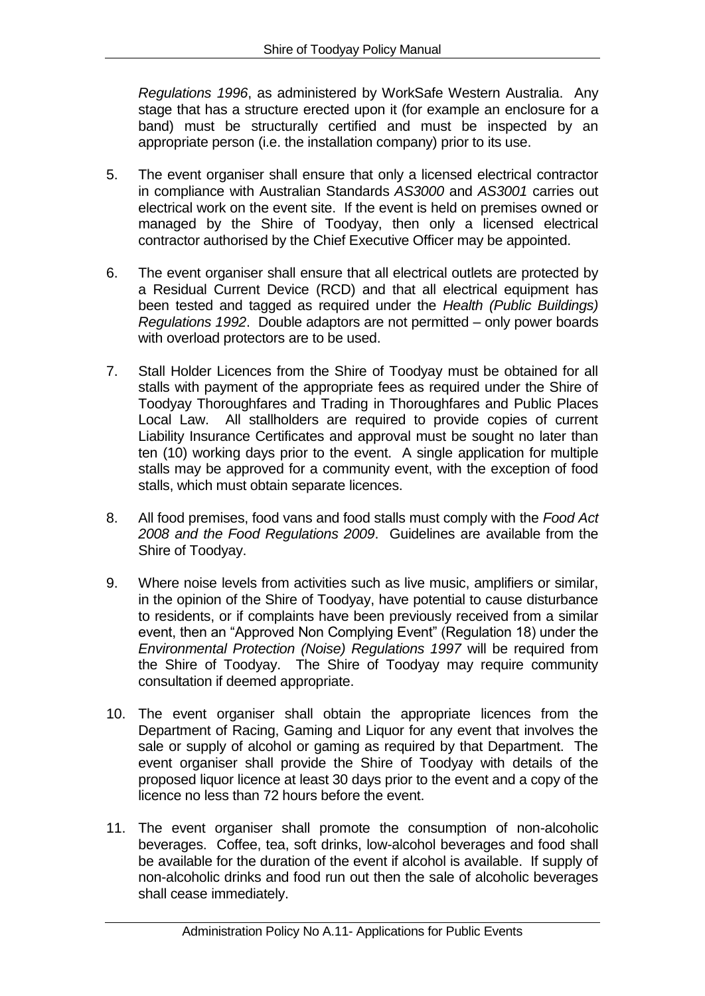*Regulations 1996*, as administered by WorkSafe Western Australia. Any stage that has a structure erected upon it (for example an enclosure for a band) must be structurally certified and must be inspected by an appropriate person (i.e. the installation company) prior to its use.

- 5. The event organiser shall ensure that only a licensed electrical contractor in compliance with Australian Standards *AS3000* and *AS3001* carries out electrical work on the event site. If the event is held on premises owned or managed by the Shire of Toodyay, then only a licensed electrical contractor authorised by the Chief Executive Officer may be appointed.
- 6. The event organiser shall ensure that all electrical outlets are protected by a Residual Current Device (RCD) and that all electrical equipment has been tested and tagged as required under the *Health (Public Buildings) Regulations 1992*. Double adaptors are not permitted – only power boards with overload protectors are to be used.
- 7. Stall Holder Licences from the Shire of Toodyay must be obtained for all stalls with payment of the appropriate fees as required under the Shire of Toodyay Thoroughfares and Trading in Thoroughfares and Public Places Local Law. All stallholders are required to provide copies of current Liability Insurance Certificates and approval must be sought no later than ten (10) working days prior to the event. A single application for multiple stalls may be approved for a community event, with the exception of food stalls, which must obtain separate licences.
- 8. All food premises, food vans and food stalls must comply with the *Food Act 2008 and the Food Regulations 2009*. Guidelines are available from the Shire of Toodyay.
- 9. Where noise levels from activities such as live music, amplifiers or similar, in the opinion of the Shire of Toodyay, have potential to cause disturbance to residents, or if complaints have been previously received from a similar event, then an "Approved Non Complying Event" (Regulation 18) under the *Environmental Protection (Noise) Regulations 1997* will be required from the Shire of Toodyay. The Shire of Toodyay may require community consultation if deemed appropriate.
- 10. The event organiser shall obtain the appropriate licences from the Department of Racing, Gaming and Liquor for any event that involves the sale or supply of alcohol or gaming as required by that Department. The event organiser shall provide the Shire of Toodyay with details of the proposed liquor licence at least 30 days prior to the event and a copy of the licence no less than 72 hours before the event.
- 11. The event organiser shall promote the consumption of non-alcoholic beverages. Coffee, tea, soft drinks, low-alcohol beverages and food shall be available for the duration of the event if alcohol is available. If supply of non-alcoholic drinks and food run out then the sale of alcoholic beverages shall cease immediately.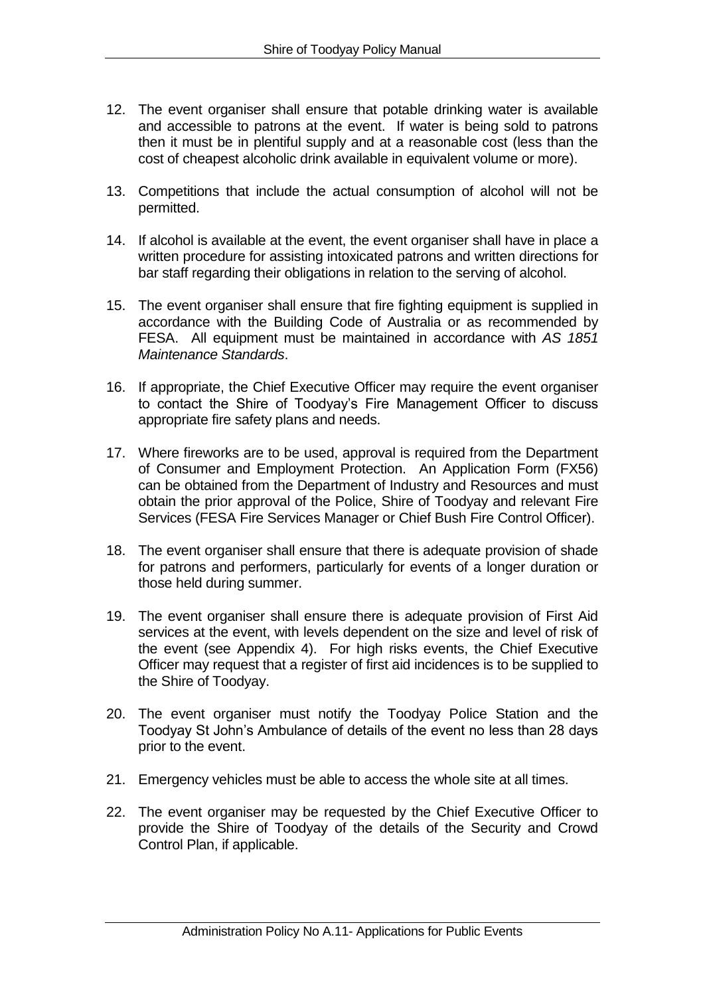- 12. The event organiser shall ensure that potable drinking water is available and accessible to patrons at the event. If water is being sold to patrons then it must be in plentiful supply and at a reasonable cost (less than the cost of cheapest alcoholic drink available in equivalent volume or more).
- 13. Competitions that include the actual consumption of alcohol will not be permitted.
- 14. If alcohol is available at the event, the event organiser shall have in place a written procedure for assisting intoxicated patrons and written directions for bar staff regarding their obligations in relation to the serving of alcohol.
- 15. The event organiser shall ensure that fire fighting equipment is supplied in accordance with the Building Code of Australia or as recommended by FESA. All equipment must be maintained in accordance with *AS 1851 Maintenance Standards*.
- 16. If appropriate, the Chief Executive Officer may require the event organiser to contact the Shire of Toodyay's Fire Management Officer to discuss appropriate fire safety plans and needs.
- 17. Where fireworks are to be used, approval is required from the Department of Consumer and Employment Protection. An Application Form (FX56) can be obtained from the Department of Industry and Resources and must obtain the prior approval of the Police, Shire of Toodyay and relevant Fire Services (FESA Fire Services Manager or Chief Bush Fire Control Officer).
- 18. The event organiser shall ensure that there is adequate provision of shade for patrons and performers, particularly for events of a longer duration or those held during summer.
- 19. The event organiser shall ensure there is adequate provision of First Aid services at the event, with levels dependent on the size and level of risk of the event (see Appendix 4). For high risks events, the Chief Executive Officer may request that a register of first aid incidences is to be supplied to the Shire of Toodyay.
- 20. The event organiser must notify the Toodyay Police Station and the Toodyay St John's Ambulance of details of the event no less than 28 days prior to the event.
- 21. Emergency vehicles must be able to access the whole site at all times.
- 22. The event organiser may be requested by the Chief Executive Officer to provide the Shire of Toodyay of the details of the Security and Crowd Control Plan, if applicable.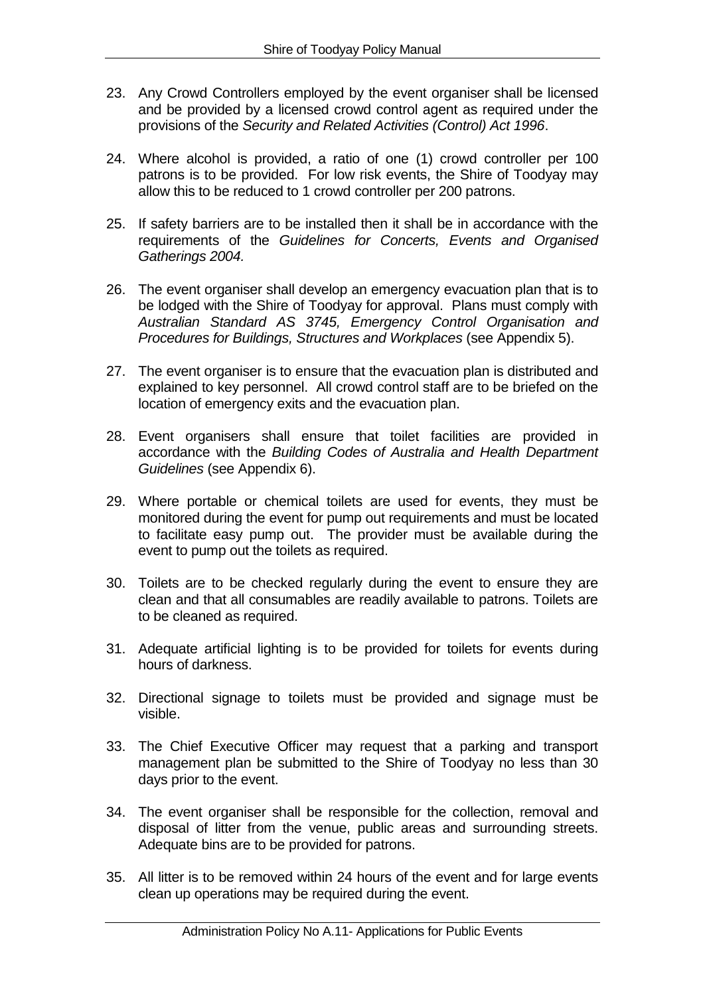- 23. Any Crowd Controllers employed by the event organiser shall be licensed and be provided by a licensed crowd control agent as required under the provisions of the *Security and Related Activities (Control) Act 1996*.
- 24. Where alcohol is provided, a ratio of one (1) crowd controller per 100 patrons is to be provided. For low risk events, the Shire of Toodyay may allow this to be reduced to 1 crowd controller per 200 patrons.
- 25. If safety barriers are to be installed then it shall be in accordance with the requirements of the *Guidelines for Concerts, Events and Organised Gatherings 2004.*
- 26. The event organiser shall develop an emergency evacuation plan that is to be lodged with the Shire of Toodyay for approval. Plans must comply with *Australian Standard AS 3745, Emergency Control Organisation and Procedures for Buildings, Structures and Workplaces* (see Appendix 5).
- 27. The event organiser is to ensure that the evacuation plan is distributed and explained to key personnel. All crowd control staff are to be briefed on the location of emergency exits and the evacuation plan.
- 28. Event organisers shall ensure that toilet facilities are provided in accordance with the *Building Codes of Australia and Health Department Guidelines* (see Appendix 6).
- 29. Where portable or chemical toilets are used for events, they must be monitored during the event for pump out requirements and must be located to facilitate easy pump out. The provider must be available during the event to pump out the toilets as required.
- 30. Toilets are to be checked regularly during the event to ensure they are clean and that all consumables are readily available to patrons. Toilets are to be cleaned as required.
- 31. Adequate artificial lighting is to be provided for toilets for events during hours of darkness.
- 32. Directional signage to toilets must be provided and signage must be visible.
- 33. The Chief Executive Officer may request that a parking and transport management plan be submitted to the Shire of Toodyay no less than 30 days prior to the event.
- 34. The event organiser shall be responsible for the collection, removal and disposal of litter from the venue, public areas and surrounding streets. Adequate bins are to be provided for patrons.
- 35. All litter is to be removed within 24 hours of the event and for large events clean up operations may be required during the event.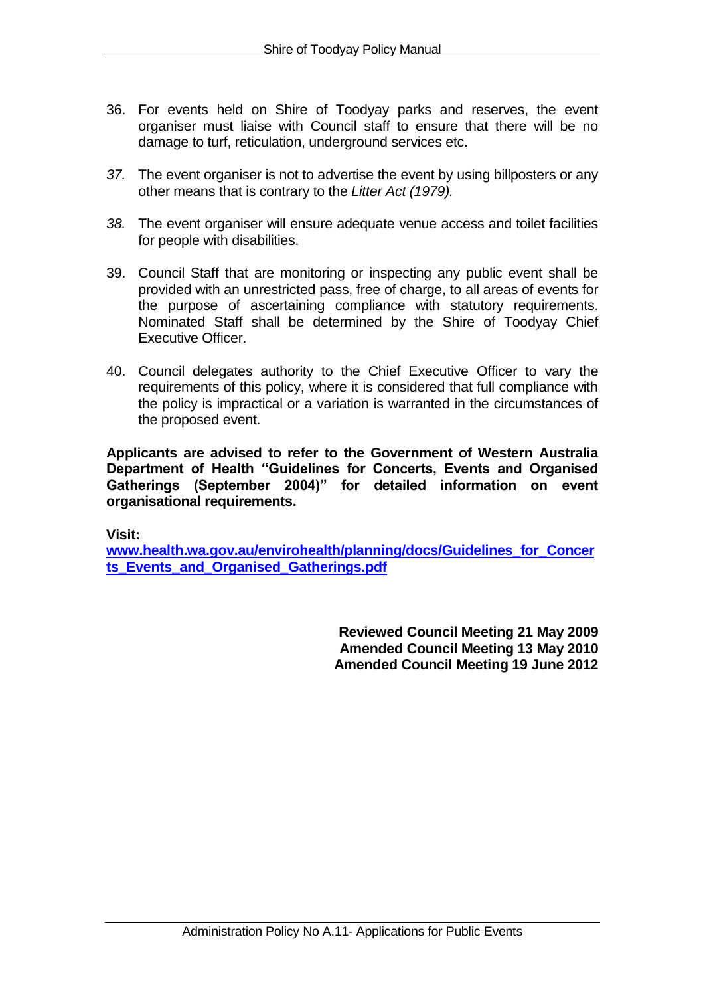- 36. For events held on Shire of Toodyay parks and reserves, the event organiser must liaise with Council staff to ensure that there will be no damage to turf, reticulation, underground services etc.
- *37.* The event organiser is not to advertise the event by using billposters or any other means that is contrary to the *Litter Act (1979).*
- *38.* The event organiser will ensure adequate venue access and toilet facilities for people with disabilities.
- 39. Council Staff that are monitoring or inspecting any public event shall be provided with an unrestricted pass, free of charge, to all areas of events for the purpose of ascertaining compliance with statutory requirements. Nominated Staff shall be determined by the Shire of Toodyay Chief Executive Officer.
- 40. Council delegates authority to the Chief Executive Officer to vary the requirements of this policy, where it is considered that full compliance with the policy is impractical or a variation is warranted in the circumstances of the proposed event.

**Applicants are advised to refer to the Government of Western Australia Department of Health "Guidelines for Concerts, Events and Organised Gatherings (September 2004)" for detailed information on event organisational requirements.** 

**Visit:** 

**[www.health.wa.gov.au/envirohealth/planning/docs/Guidelines\\_for\\_Concer](http://www.health.wa.gov.au/envirohealth/planning/docs/Guidelines_for_Concerts_Events_and_Organised_Gatherings.pdf) [ts\\_Events\\_and\\_Organised\\_Gatherings.pdf](http://www.health.wa.gov.au/envirohealth/planning/docs/Guidelines_for_Concerts_Events_and_Organised_Gatherings.pdf)**

> **Reviewed Council Meeting 21 May 2009 Amended Council Meeting 13 May 2010 Amended Council Meeting 19 June 2012**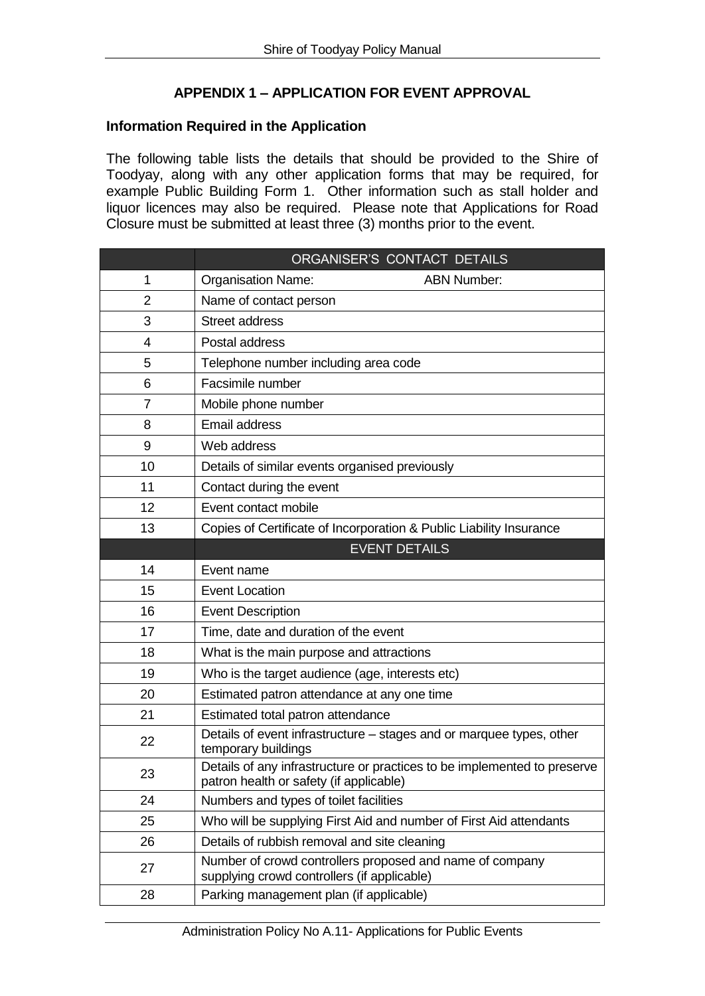# **APPENDIX 1 – APPLICATION FOR EVENT APPROVAL**

#### **Information Required in the Application**

The following table lists the details that should be provided to the Shire of Toodyay, along with any other application forms that may be required, for example Public Building Form 1. Other information such as stall holder and liquor licences may also be required. Please note that Applications for Road Closure must be submitted at least three (3) months prior to the event.

|                | ORGANISER'S CONTACT DETAILS                                                                                         |  |  |  |  |
|----------------|---------------------------------------------------------------------------------------------------------------------|--|--|--|--|
| 1              | <b>Organisation Name:</b><br><b>ABN Number:</b>                                                                     |  |  |  |  |
| 2              | Name of contact person                                                                                              |  |  |  |  |
| 3              | <b>Street address</b>                                                                                               |  |  |  |  |
| 4              | Postal address                                                                                                      |  |  |  |  |
| 5              | Telephone number including area code                                                                                |  |  |  |  |
| 6              | Facsimile number                                                                                                    |  |  |  |  |
| $\overline{7}$ | Mobile phone number                                                                                                 |  |  |  |  |
| 8              | Email address                                                                                                       |  |  |  |  |
| 9              | Web address                                                                                                         |  |  |  |  |
| 10             | Details of similar events organised previously                                                                      |  |  |  |  |
| 11             | Contact during the event                                                                                            |  |  |  |  |
| 12             | Event contact mobile                                                                                                |  |  |  |  |
| 13             | Copies of Certificate of Incorporation & Public Liability Insurance                                                 |  |  |  |  |
|                | <b>EVENT DETAILS</b>                                                                                                |  |  |  |  |
| 14             | Event name                                                                                                          |  |  |  |  |
| 15             | <b>Event Location</b>                                                                                               |  |  |  |  |
| 16             | <b>Event Description</b>                                                                                            |  |  |  |  |
| 17             | Time, date and duration of the event                                                                                |  |  |  |  |
| 18             | What is the main purpose and attractions                                                                            |  |  |  |  |
| 19             | Who is the target audience (age, interests etc)                                                                     |  |  |  |  |
| 20             | Estimated patron attendance at any one time                                                                         |  |  |  |  |
| 21             | Estimated total patron attendance                                                                                   |  |  |  |  |
| 22             | Details of event infrastructure - stages and or marquee types, other<br>temporary buildings                         |  |  |  |  |
| 23             | Details of any infrastructure or practices to be implemented to preserve<br>patron health or safety (if applicable) |  |  |  |  |
| 24             | Numbers and types of toilet facilities                                                                              |  |  |  |  |
| 25             | Who will be supplying First Aid and number of First Aid attendants                                                  |  |  |  |  |
| 26             | Details of rubbish removal and site cleaning                                                                        |  |  |  |  |
| 27             | Number of crowd controllers proposed and name of company<br>supplying crowd controllers (if applicable)             |  |  |  |  |
| 28             | Parking management plan (if applicable)                                                                             |  |  |  |  |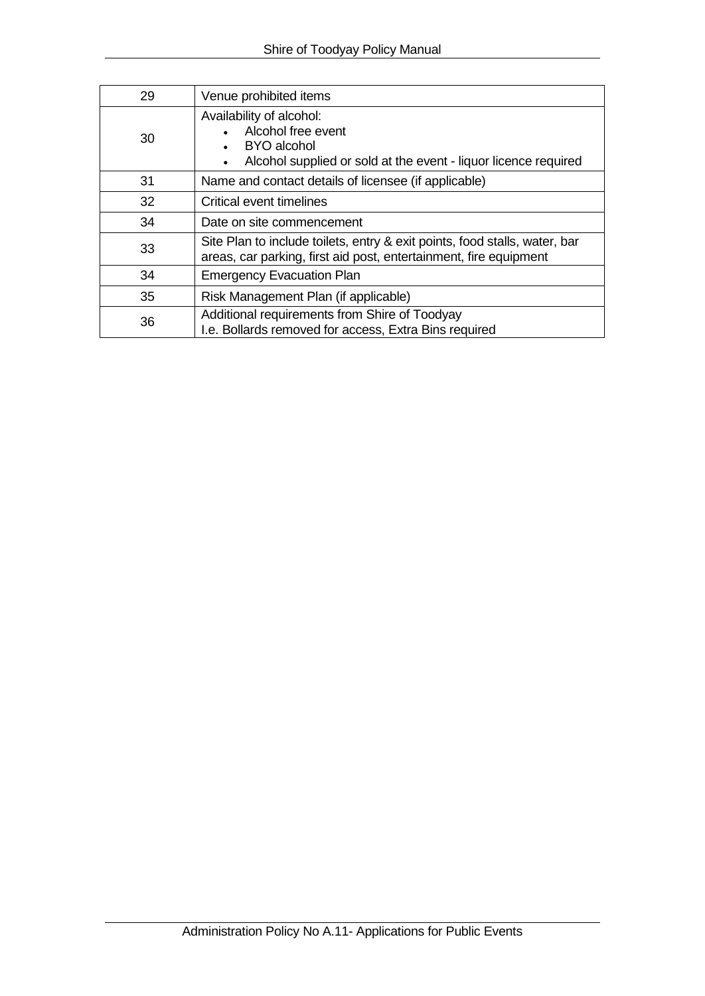| 29 | Venue prohibited items                                                                                                                          |  |  |  |  |
|----|-------------------------------------------------------------------------------------------------------------------------------------------------|--|--|--|--|
| 30 | Availability of alcohol:<br>Alcohol free event<br><b>BYO</b> alcohol<br>Alcohol supplied or sold at the event - liquor licence required         |  |  |  |  |
| 31 | Name and contact details of licensee (if applicable)                                                                                            |  |  |  |  |
| 32 | Critical event timelines                                                                                                                        |  |  |  |  |
| 34 | Date on site commencement                                                                                                                       |  |  |  |  |
| 33 | Site Plan to include toilets, entry & exit points, food stalls, water, bar<br>areas, car parking, first aid post, entertainment, fire equipment |  |  |  |  |
| 34 | <b>Emergency Evacuation Plan</b>                                                                                                                |  |  |  |  |
| 35 | Risk Management Plan (if applicable)                                                                                                            |  |  |  |  |
| 36 | Additional requirements from Shire of Toodyay<br>I.e. Bollards removed for access, Extra Bins required                                          |  |  |  |  |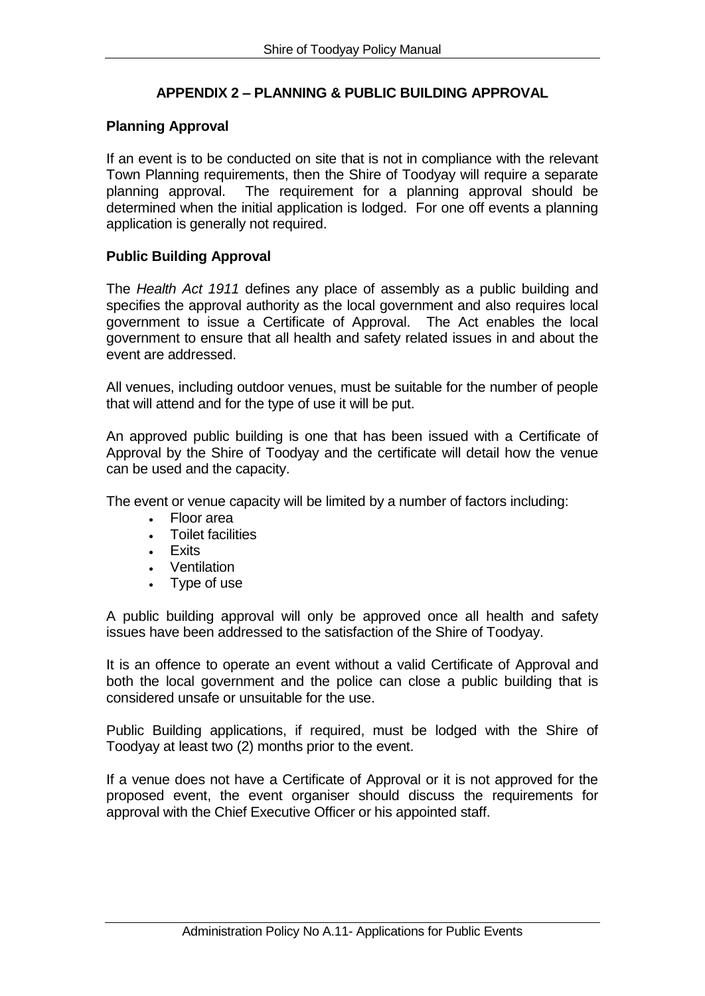# **APPENDIX 2 – PLANNING & PUBLIC BUILDING APPROVAL**

### **Planning Approval**

If an event is to be conducted on site that is not in compliance with the relevant Town Planning requirements, then the Shire of Toodyay will require a separate planning approval. The requirement for a planning approval should be determined when the initial application is lodged. For one off events a planning application is generally not required.

### **Public Building Approval**

The *Health Act 1911* defines any place of assembly as a public building and specifies the approval authority as the local government and also requires local government to issue a Certificate of Approval. The Act enables the local government to ensure that all health and safety related issues in and about the event are addressed.

All venues, including outdoor venues, must be suitable for the number of people that will attend and for the type of use it will be put.

An approved public building is one that has been issued with a Certificate of Approval by the Shire of Toodyay and the certificate will detail how the venue can be used and the capacity.

The event or venue capacity will be limited by a number of factors including:

- Floor area
- Toilet facilities
- **.** Exits
- Ventilation
- Type of use

A public building approval will only be approved once all health and safety issues have been addressed to the satisfaction of the Shire of Toodyay.

It is an offence to operate an event without a valid Certificate of Approval and both the local government and the police can close a public building that is considered unsafe or unsuitable for the use.

Public Building applications, if required, must be lodged with the Shire of Toodyay at least two (2) months prior to the event.

If a venue does not have a Certificate of Approval or it is not approved for the proposed event, the event organiser should discuss the requirements for approval with the Chief Executive Officer or his appointed staff.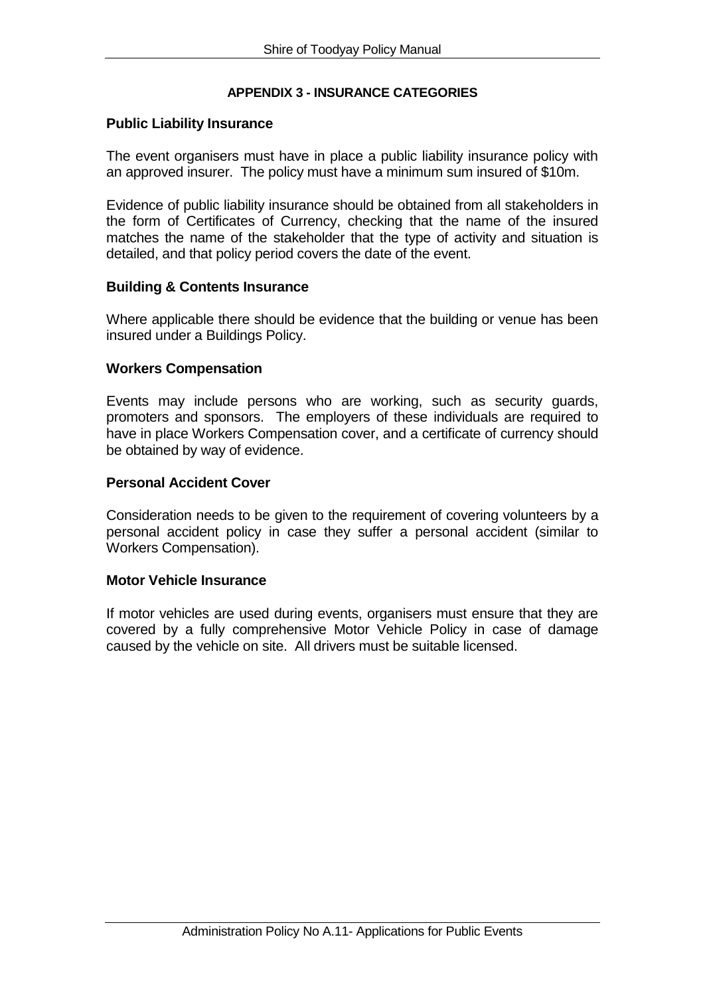### **APPENDIX 3 - INSURANCE CATEGORIES**

#### **Public Liability Insurance**

The event organisers must have in place a public liability insurance policy with an approved insurer. The policy must have a minimum sum insured of \$10m.

Evidence of public liability insurance should be obtained from all stakeholders in the form of Certificates of Currency, checking that the name of the insured matches the name of the stakeholder that the type of activity and situation is detailed, and that policy period covers the date of the event.

### **Building & Contents Insurance**

Where applicable there should be evidence that the building or venue has been insured under a Buildings Policy.

#### **Workers Compensation**

Events may include persons who are working, such as security guards, promoters and sponsors. The employers of these individuals are required to have in place Workers Compensation cover, and a certificate of currency should be obtained by way of evidence.

#### **Personal Accident Cover**

Consideration needs to be given to the requirement of covering volunteers by a personal accident policy in case they suffer a personal accident (similar to Workers Compensation).

#### **Motor Vehicle Insurance**

If motor vehicles are used during events, organisers must ensure that they are covered by a fully comprehensive Motor Vehicle Policy in case of damage caused by the vehicle on site. All drivers must be suitable licensed.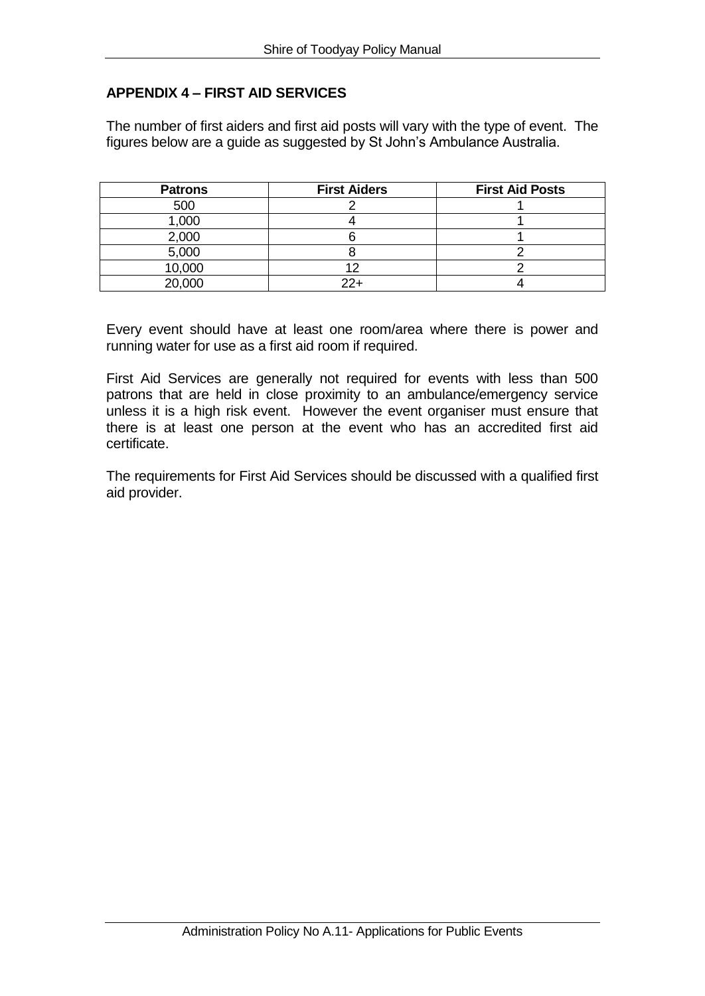# **APPENDIX 4 – FIRST AID SERVICES**

The number of first aiders and first aid posts will vary with the type of event. The figures below are a guide as suggested by St John's Ambulance Australia.

| <b>Patrons</b> | <b>First Aiders</b> | <b>First Aid Posts</b> |
|----------------|---------------------|------------------------|
| 500            |                     |                        |
| 1,000          |                     |                        |
| 2,000          |                     |                        |
| 5,000          |                     |                        |
| 10,000         |                     |                        |
| 20,000         | י כפ                |                        |

Every event should have at least one room/area where there is power and running water for use as a first aid room if required.

First Aid Services are generally not required for events with less than 500 patrons that are held in close proximity to an ambulance/emergency service unless it is a high risk event. However the event organiser must ensure that there is at least one person at the event who has an accredited first aid certificate.

The requirements for First Aid Services should be discussed with a qualified first aid provider.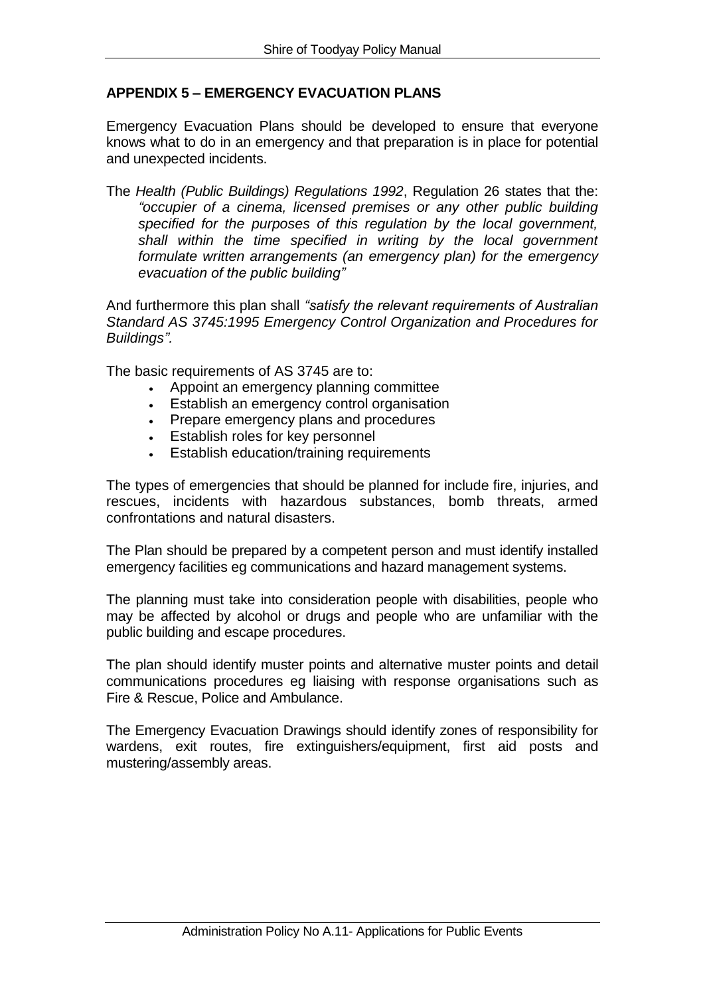# **APPENDIX 5 – EMERGENCY EVACUATION PLANS**

Emergency Evacuation Plans should be developed to ensure that everyone knows what to do in an emergency and that preparation is in place for potential and unexpected incidents.

The *Health (Public Buildings) Regulations 1992*, Regulation 26 states that the: *"occupier of a cinema, licensed premises or any other public building specified for the purposes of this regulation by the local government, shall within the time specified in writing by the local government formulate written arrangements (an emergency plan) for the emergency evacuation of the public building"*

And furthermore this plan shall *"satisfy the relevant requirements of Australian Standard AS 3745:1995 Emergency Control Organization and Procedures for Buildings".* 

The basic requirements of AS 3745 are to:

- Appoint an emergency planning committee
- **Establish an emergency control organisation**
- Prepare emergency plans and procedures
- Establish roles for key personnel
- Establish education/training requirements

The types of emergencies that should be planned for include fire, injuries, and rescues, incidents with hazardous substances, bomb threats, armed confrontations and natural disasters.

The Plan should be prepared by a competent person and must identify installed emergency facilities eg communications and hazard management systems.

The planning must take into consideration people with disabilities, people who may be affected by alcohol or drugs and people who are unfamiliar with the public building and escape procedures.

The plan should identify muster points and alternative muster points and detail communications procedures eg liaising with response organisations such as Fire & Rescue, Police and Ambulance.

The Emergency Evacuation Drawings should identify zones of responsibility for wardens, exit routes, fire extinguishers/equipment, first aid posts and mustering/assembly areas.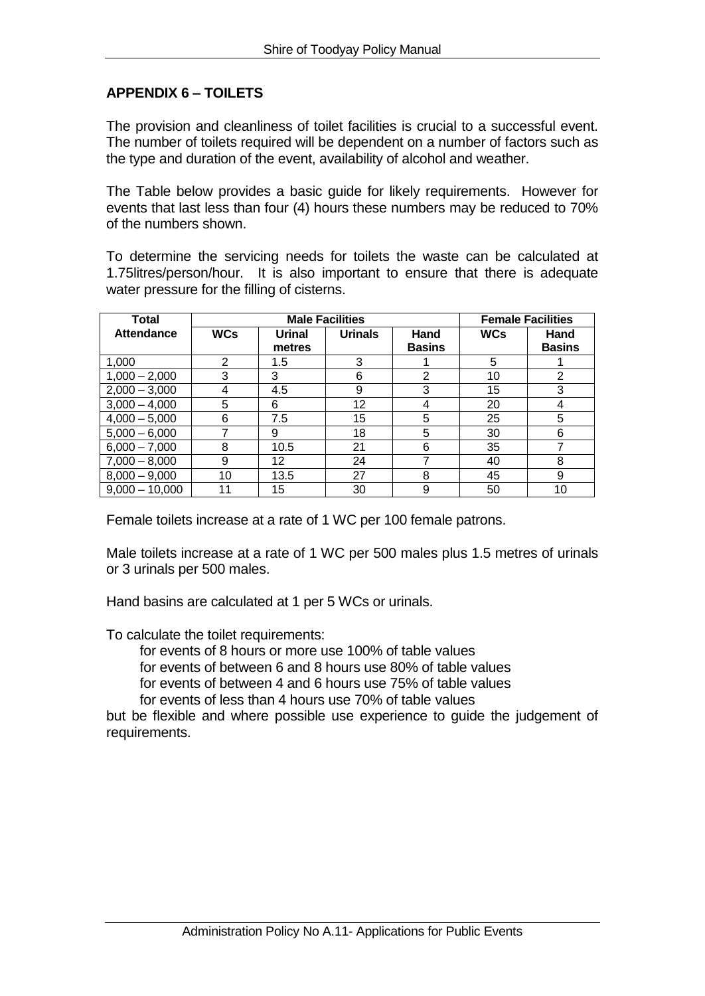## **APPENDIX 6 – TOILETS**

The provision and cleanliness of toilet facilities is crucial to a successful event. The number of toilets required will be dependent on a number of factors such as the type and duration of the event, availability of alcohol and weather.

The Table below provides a basic guide for likely requirements. However for events that last less than four (4) hours these numbers may be reduced to 70% of the numbers shown.

To determine the servicing needs for toilets the waste can be calculated at 1.75litres/person/hour. It is also important to ensure that there is adequate water pressure for the filling of cisterns.

| <b>Total</b>      |            | <b>Male Facilities</b> |                 |               | <b>Female Facilities</b> |               |  |
|-------------------|------------|------------------------|-----------------|---------------|--------------------------|---------------|--|
| <b>Attendance</b> | <b>WCs</b> | <b>Urinal</b>          | <b>Urinals</b>  | Hand          | <b>WCs</b>               | Hand          |  |
|                   |            | metres                 |                 | <b>Basins</b> |                          | <b>Basins</b> |  |
| 1,000             | 2          | 1.5                    | 3               |               | 5                        |               |  |
| $1,000 - 2,000$   | 3          | 3                      | 6               | 2             | 10                       | 2             |  |
| $2,000 - 3,000$   | 4          | 4.5                    | 9               | 3             | 15                       | 3             |  |
| $3,000 - 4,000$   | 5          | 6                      | 12 <sup>2</sup> | 4             | 20                       | 4             |  |
| $4,000 - 5,000$   | 6          | 7.5                    | 15              | 5             | 25                       | 5             |  |
| $5,000 - 6,000$   |            | 9                      | 18              | 5             | 30                       | 6             |  |
| $6,000 - 7,000$   | 8          | 10.5                   | 21              | 6             | 35                       |               |  |
| $7,000 - 8,000$   | 9          | 12                     | 24              |               | 40                       | 8             |  |
| $8,000 - 9,000$   | 10         | 13.5                   | 27              | 8             | 45                       | 9             |  |
| $9,000 - 10,000$  |            | 15                     | 30              | 9             | 50                       | 10            |  |

Female toilets increase at a rate of 1 WC per 100 female patrons.

Male toilets increase at a rate of 1 WC per 500 males plus 1.5 metres of urinals or 3 urinals per 500 males.

Hand basins are calculated at 1 per 5 WCs or urinals.

To calculate the toilet requirements:

for events of 8 hours or more use 100% of table values

for events of between 6 and 8 hours use 80% of table values

for events of between 4 and 6 hours use 75% of table values

for events of less than 4 hours use 70% of table values

but be flexible and where possible use experience to guide the judgement of requirements.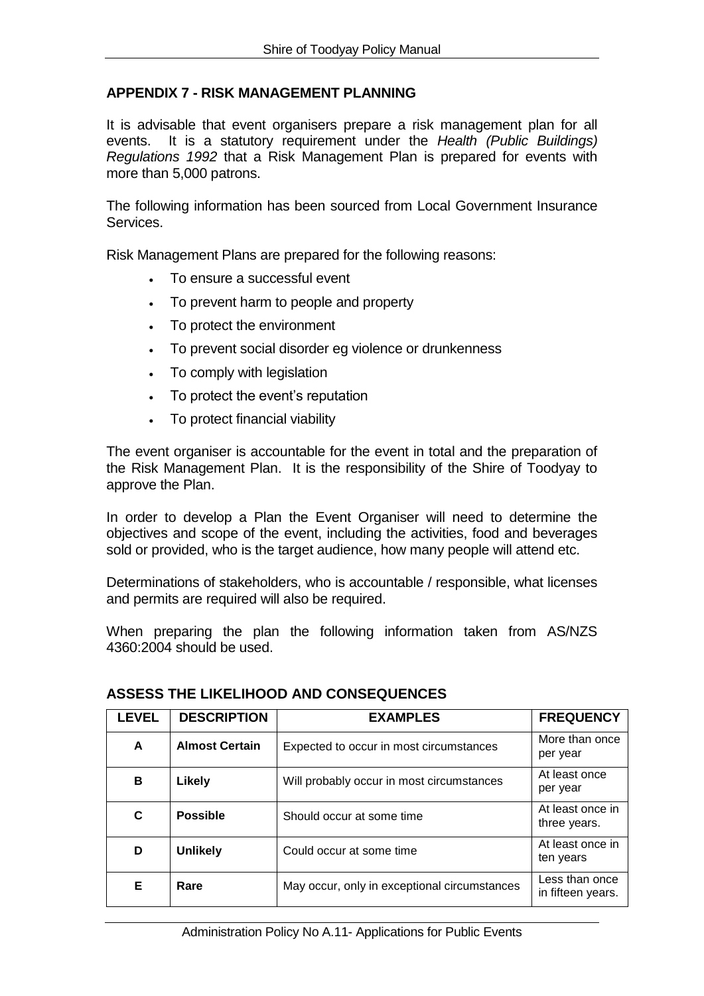## **APPENDIX 7 - RISK MANAGEMENT PLANNING**

It is advisable that event organisers prepare a risk management plan for all events. It is a statutory requirement under the *Health (Public Buildings) Regulations 1992* that a Risk Management Plan is prepared for events with more than 5,000 patrons.

The following information has been sourced from Local Government Insurance Services.

Risk Management Plans are prepared for the following reasons:

- To ensure a successful event
- To prevent harm to people and property
- To protect the environment
- To prevent social disorder eg violence or drunkenness
- To comply with legislation
- To protect the event's reputation
- To protect financial viability

The event organiser is accountable for the event in total and the preparation of the Risk Management Plan. It is the responsibility of the Shire of Toodyay to approve the Plan.

In order to develop a Plan the Event Organiser will need to determine the objectives and scope of the event, including the activities, food and beverages sold or provided, who is the target audience, how many people will attend etc.

Determinations of stakeholders, who is accountable / responsible, what licenses and permits are required will also be required.

When preparing the plan the following information taken from AS/NZS 4360:2004 should be used.

| <b>LEVEL</b> | <b>DESCRIPTION</b>    | <b>EXAMPLES</b>                              | <b>FREQUENCY</b>                    |
|--------------|-----------------------|----------------------------------------------|-------------------------------------|
| A            | <b>Almost Certain</b> | Expected to occur in most circumstances      | More than once<br>per year          |
| В            | Likely                | Will probably occur in most circumstances    | At least once<br>per year           |
| C            | <b>Possible</b>       | Should occur at some time                    | At least once in<br>three years.    |
| D            | <b>Unlikely</b>       | Could occur at some time                     | At least once in<br>ten years       |
| Е            | Rare                  | May occur, only in exceptional circumstances | Less than once<br>in fifteen years. |

### **ASSESS THE LIKELIHOOD AND CONSEQUENCES**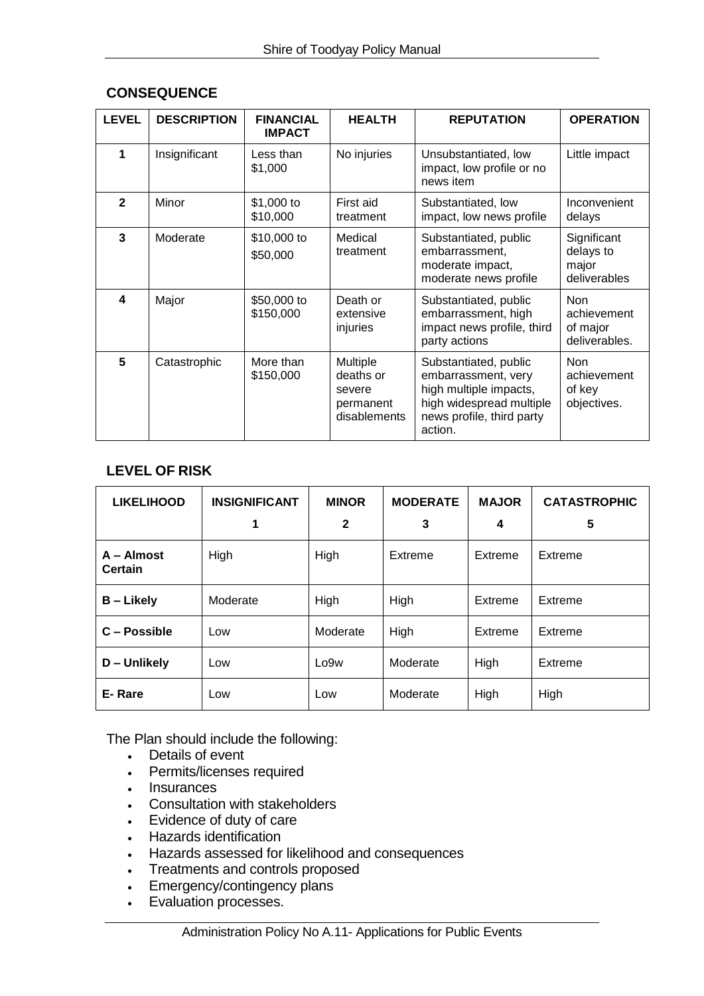| <b>LEVEL</b>   | <b>DESCRIPTION</b> | <b>FINANCIAL</b><br><b>IMPACT</b> | <b>HEALTH</b>                                                | <b>REPUTATION</b>                                                                                                                          | <b>OPERATION</b>                                       |
|----------------|--------------------|-----------------------------------|--------------------------------------------------------------|--------------------------------------------------------------------------------------------------------------------------------------------|--------------------------------------------------------|
| 1              | Insignificant      | Less than<br>\$1,000              | No injuries                                                  | Unsubstantiated, low<br>impact, low profile or no<br>news item                                                                             | Little impact                                          |
| $\overline{2}$ | Minor              | \$1,000 to<br>\$10,000            | First aid<br>treatment                                       | Substantiated, low<br>impact, low news profile                                                                                             | Inconvenient<br>delays                                 |
| 3              | Moderate           | \$10,000 to<br>\$50,000           | Medical<br>treatment                                         | Substantiated, public<br>embarrassment,<br>moderate impact,<br>moderate news profile                                                       | Significant<br>delays to<br>major<br>deliverables      |
| 4              | Major              | \$50,000 to<br>\$150,000          | Death or<br>extensive<br>injuries                            | Substantiated, public<br>embarrassment, high<br>impact news profile, third<br>party actions                                                | <b>Non</b><br>achievement<br>of major<br>deliverables. |
| 5              | Catastrophic       | More than<br>\$150,000            | Multiple<br>deaths or<br>severe<br>permanent<br>disablements | Substantiated, public<br>embarrassment, very<br>high multiple impacts,<br>high widespread multiple<br>news profile, third party<br>action. | <b>Non</b><br>achievement<br>of key<br>objectives.     |

## **CONSEQUENCE**

# **LEVEL OF RISK**

| <b>LIKELIHOOD</b>                       | <b>INSIGNIFICANT</b> | <b>MINOR</b>     | <b>MODERATE</b> | <b>MAJOR</b>       | <b>CATASTROPHIC</b> |
|-----------------------------------------|----------------------|------------------|-----------------|--------------------|---------------------|
|                                         |                      | $\mathbf{2}$     | 3               | 4                  | 5                   |
| High<br>$A -$ Almost<br>High<br>Certain |                      |                  | Extreme         | Extreme            | Extreme             |
| <b>B</b> – Likely                       | Moderate             | High             | High            | Extreme            | Extreme             |
| C – Possible                            | Low                  | Moderate         | High            | Extreme<br>Extreme |                     |
| D - Unlikely                            | Low                  | Lo <sub>9w</sub> | Moderate        | High               | Extreme             |
| E-Rare                                  | Low                  | Low              | Moderate        | High               | High                |

The Plan should include the following:

- Details of event
- Permits/licenses required
- Insurances
- Consultation with stakeholders
- Evidence of duty of care
- Hazards identification
- Hazards assessed for likelihood and consequences
- Treatments and controls proposed
- Emergency/contingency plans
- Evaluation processes.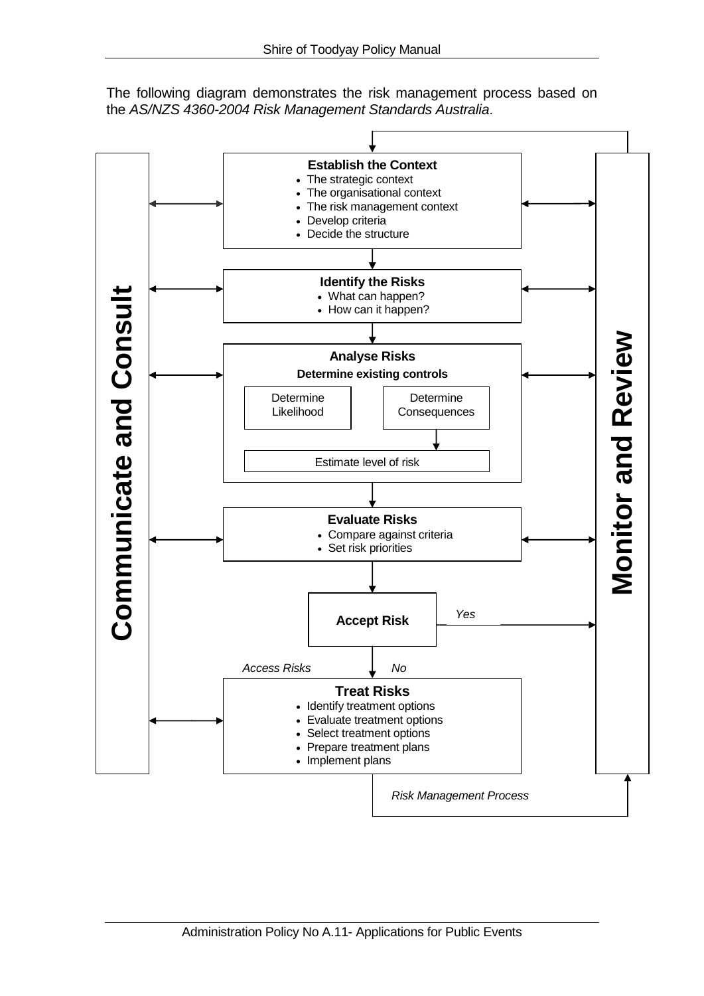The following diagram demonstrates the risk management process based on the *AS/NZS 4360-2004 Risk Management Standards Australia*.

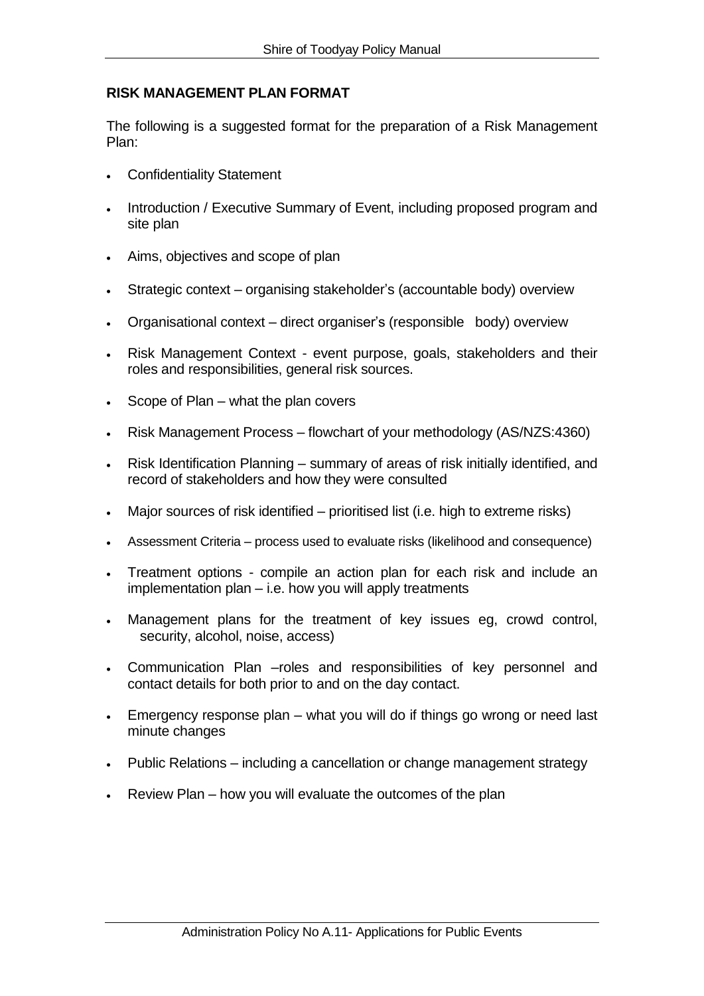# **RISK MANAGEMENT PLAN FORMAT**

The following is a suggested format for the preparation of a Risk Management Plan:

- Confidentiality Statement
- Introduction / Executive Summary of Event, including proposed program and site plan
- Aims, objectives and scope of plan
- Strategic context organising stakeholder's (accountable body) overview
- Organisational context direct organiser's (responsible body) overview
- Risk Management Context event purpose, goals, stakeholders and their roles and responsibilities, general risk sources.
- Scope of Plan what the plan covers
- Risk Management Process flowchart of your methodology (AS/NZS:4360)
- Risk Identification Planning summary of areas of risk initially identified, and record of stakeholders and how they were consulted
- Major sources of risk identified prioritised list (i.e. high to extreme risks)
- Assessment Criteria process used to evaluate risks (likelihood and consequence)
- Treatment options compile an action plan for each risk and include an implementation plan – i.e. how you will apply treatments
- Management plans for the treatment of key issues eg, crowd control, security, alcohol, noise, access)
- Communication Plan –roles and responsibilities of key personnel and contact details for both prior to and on the day contact.
- Emergency response plan what you will do if things go wrong or need last minute changes
- Public Relations including a cancellation or change management strategy
- Review Plan how you will evaluate the outcomes of the plan